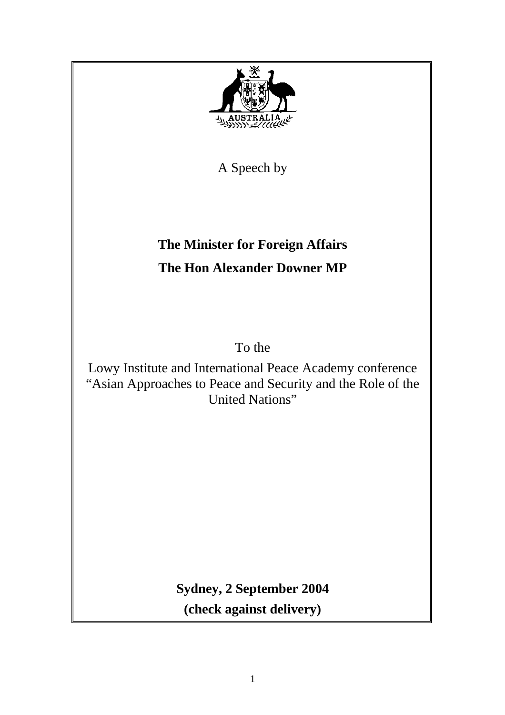

**Sydney, 2 September 2004 (check against delivery)**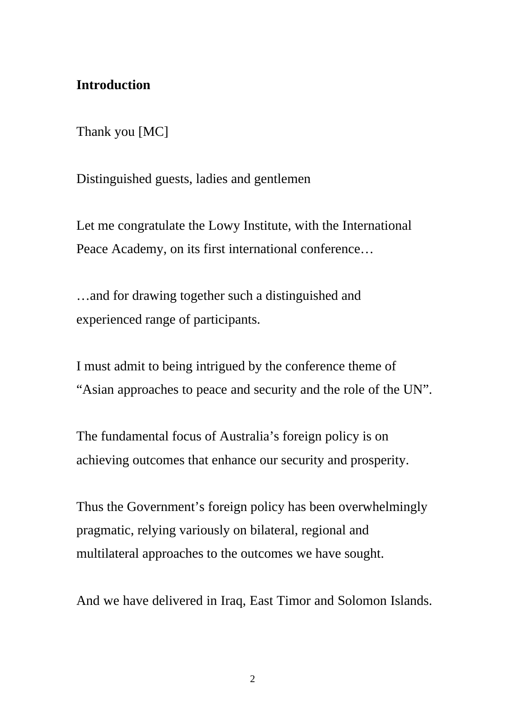# **Introduction**

Thank you [MC]

Distinguished guests, ladies and gentlemen

Let me congratulate the Lowy Institute, with the International Peace Academy, on its first international conference…

…and for drawing together such a distinguished and experienced range of participants.

I must admit to being intrigued by the conference theme of "Asian approaches to peace and security and the role of the UN".

The fundamental focus of Australia's foreign policy is on achieving outcomes that enhance our security and prosperity.

Thus the Government's foreign policy has been overwhelmingly pragmatic, relying variously on bilateral, regional and multilateral approaches to the outcomes we have sought.

And we have delivered in Iraq, East Timor and Solomon Islands.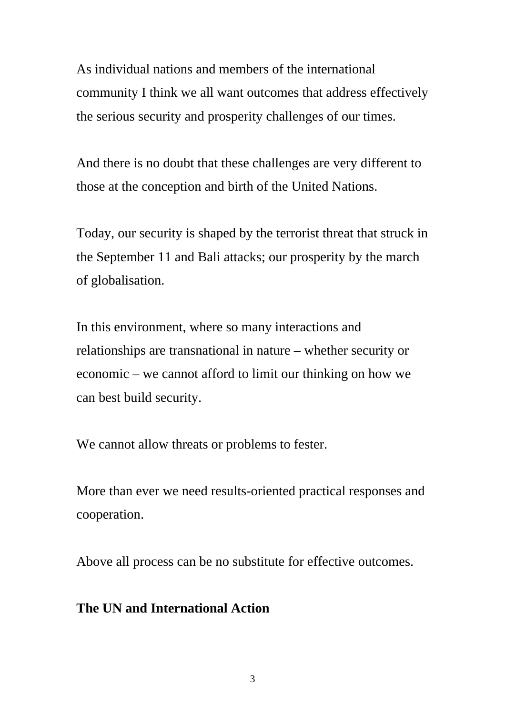As individual nations and members of the international community I think we all want outcomes that address effectively the serious security and prosperity challenges of our times.

And there is no doubt that these challenges are very different to those at the conception and birth of the United Nations.

Today, our security is shaped by the terrorist threat that struck in the September 11 and Bali attacks; our prosperity by the march of globalisation.

In this environment, where so many interactions and relationships are transnational in nature – whether security or economic – we cannot afford to limit our thinking on how we can best build security.

We cannot allow threats or problems to fester.

More than ever we need results-oriented practical responses and cooperation.

Above all process can be no substitute for effective outcomes.

### **The UN and International Action**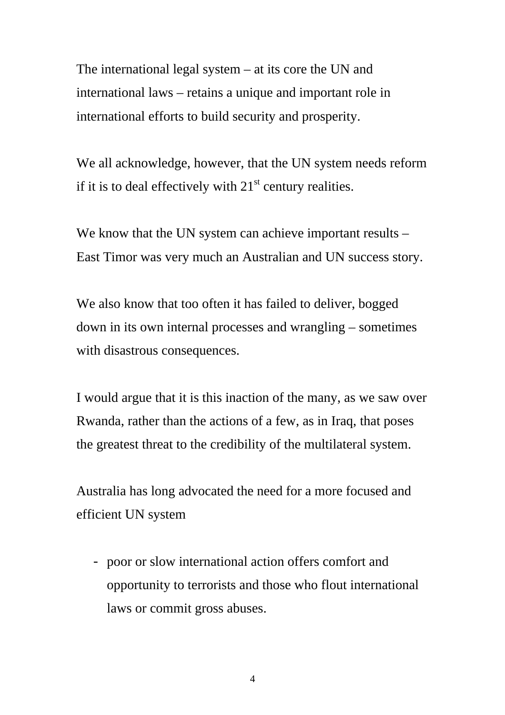The international legal system – at its core the UN and international laws – retains a unique and important role in international efforts to build security and prosperity.

We all acknowledge, however, that the UN system needs reform if it is to deal effectively with  $21<sup>st</sup>$  century realities.

We know that the UN system can achieve important results – East Timor was very much an Australian and UN success story.

We also know that too often it has failed to deliver, bogged down in its own internal processes and wrangling – sometimes with disastrous consequences.

I would argue that it is this inaction of the many, as we saw over Rwanda, rather than the actions of a few, as in Iraq, that poses the greatest threat to the credibility of the multilateral system.

Australia has long advocated the need for a more focused and efficient UN system

- poor or slow international action offers comfort and opportunity to terrorists and those who flout international laws or commit gross abuses.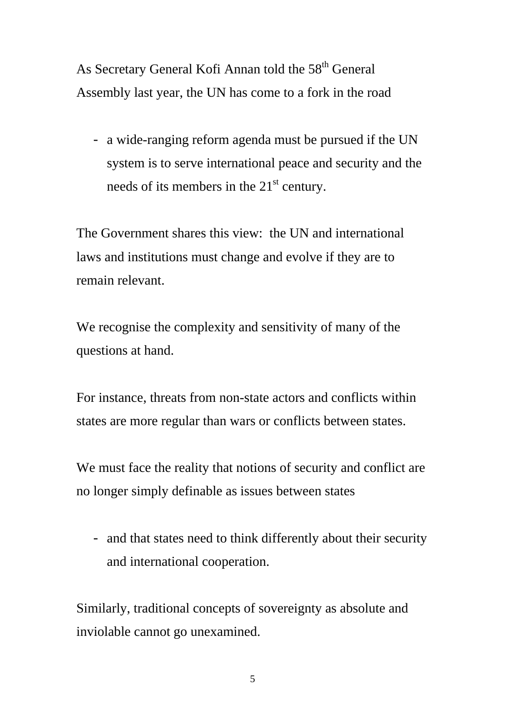As Secretary General Kofi Annan told the 58<sup>th</sup> General Assembly last year, the UN has come to a fork in the road

- a wide-ranging reform agenda must be pursued if the UN system is to serve international peace and security and the needs of its members in the  $21<sup>st</sup>$  century.

The Government shares this view: the UN and international laws and institutions must change and evolve if they are to remain relevant.

We recognise the complexity and sensitivity of many of the questions at hand.

For instance, threats from non-state actors and conflicts within states are more regular than wars or conflicts between states.

We must face the reality that notions of security and conflict are no longer simply definable as issues between states

- and that states need to think differently about their security and international cooperation.

Similarly, traditional concepts of sovereignty as absolute and inviolable cannot go unexamined.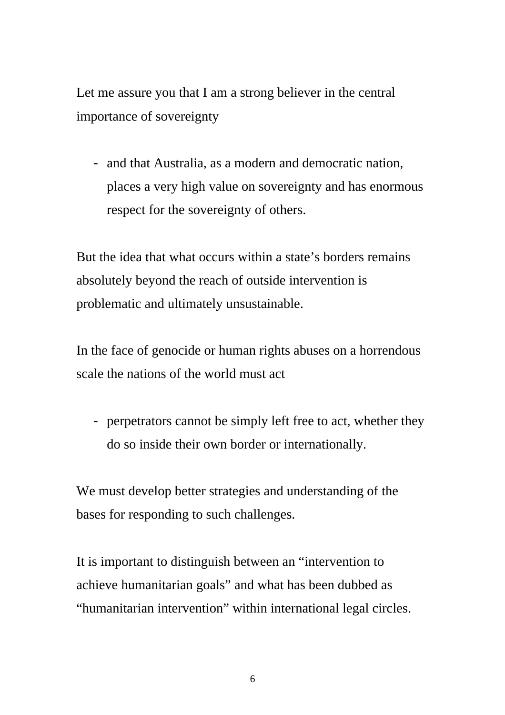Let me assure you that I am a strong believer in the central importance of sovereignty

- and that Australia, as a modern and democratic nation, places a very high value on sovereignty and has enormous respect for the sovereignty of others.

But the idea that what occurs within a state's borders remains absolutely beyond the reach of outside intervention is problematic and ultimately unsustainable.

In the face of genocide or human rights abuses on a horrendous scale the nations of the world must act

- perpetrators cannot be simply left free to act, whether they do so inside their own border or internationally.

We must develop better strategies and understanding of the bases for responding to such challenges.

It is important to distinguish between an "intervention to achieve humanitarian goals" and what has been dubbed as "humanitarian intervention" within international legal circles.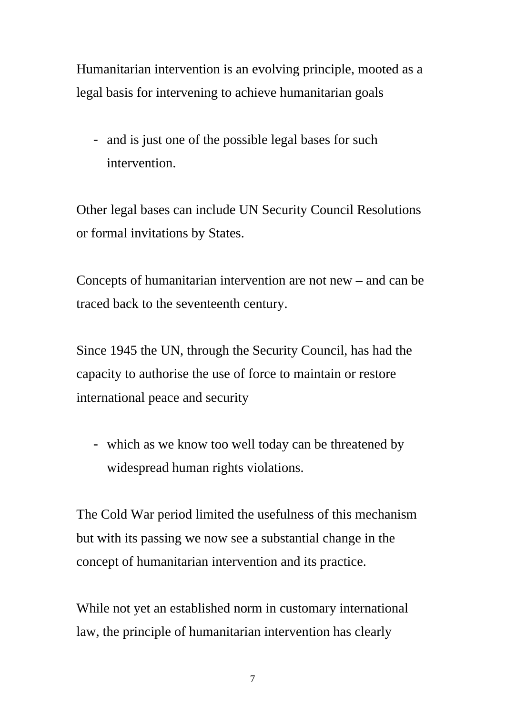Humanitarian intervention is an evolving principle, mooted as a legal basis for intervening to achieve humanitarian goals

- and is just one of the possible legal bases for such intervention.

Other legal bases can include UN Security Council Resolutions or formal invitations by States.

Concepts of humanitarian intervention are not new – and can be traced back to the seventeenth century.

Since 1945 the UN, through the Security Council, has had the capacity to authorise the use of force to maintain or restore international peace and security

- which as we know too well today can be threatened by widespread human rights violations.

The Cold War period limited the usefulness of this mechanism but with its passing we now see a substantial change in the concept of humanitarian intervention and its practice.

While not yet an established norm in customary international law, the principle of humanitarian intervention has clearly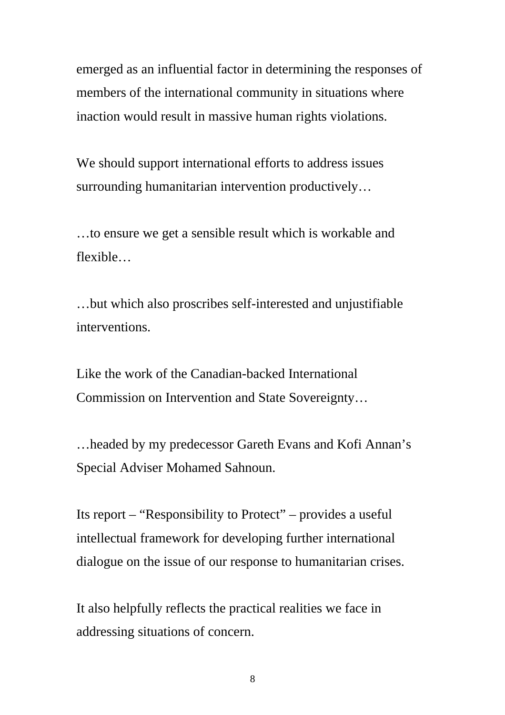emerged as an influential factor in determining the responses of members of the international community in situations where inaction would result in massive human rights violations.

We should support international efforts to address issues surrounding humanitarian intervention productively…

…to ensure we get a sensible result which is workable and flexible…

…but which also proscribes self-interested and unjustifiable interventions.

Like the work of the Canadian-backed International Commission on Intervention and State Sovereignty…

…headed by my predecessor Gareth Evans and Kofi Annan's Special Adviser Mohamed Sahnoun.

Its report – "Responsibility to Protect" – provides a useful intellectual framework for developing further international dialogue on the issue of our response to humanitarian crises.

It also helpfully reflects the practical realities we face in addressing situations of concern.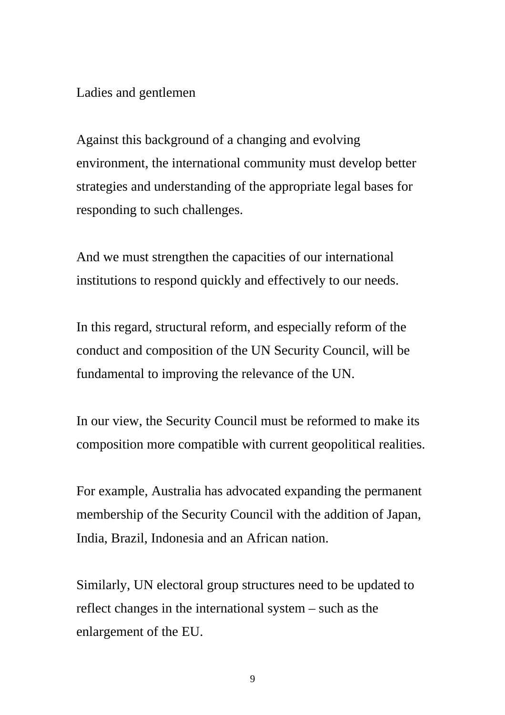### Ladies and gentlemen

Against this background of a changing and evolving environment, the international community must develop better strategies and understanding of the appropriate legal bases for responding to such challenges.

And we must strengthen the capacities of our international institutions to respond quickly and effectively to our needs.

In this regard, structural reform, and especially reform of the conduct and composition of the UN Security Council, will be fundamental to improving the relevance of the UN.

In our view, the Security Council must be reformed to make its composition more compatible with current geopolitical realities.

For example, Australia has advocated expanding the permanent membership of the Security Council with the addition of Japan, India, Brazil, Indonesia and an African nation.

Similarly, UN electoral group structures need to be updated to reflect changes in the international system – such as the enlargement of the EU.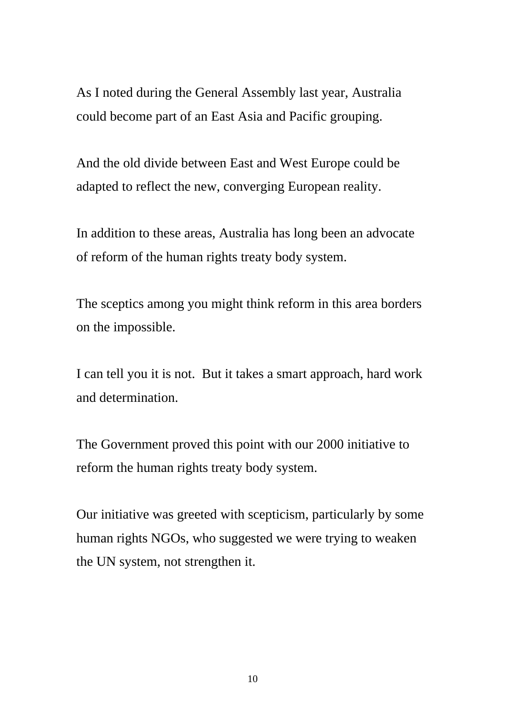As I noted during the General Assembly last year, Australia could become part of an East Asia and Pacific grouping.

And the old divide between East and West Europe could be adapted to reflect the new, converging European reality.

In addition to these areas, Australia has long been an advocate of reform of the human rights treaty body system.

The sceptics among you might think reform in this area borders on the impossible.

I can tell you it is not. But it takes a smart approach, hard work and determination.

The Government proved this point with our 2000 initiative to reform the human rights treaty body system.

Our initiative was greeted with scepticism, particularly by some human rights NGOs, who suggested we were trying to weaken the UN system, not strengthen it.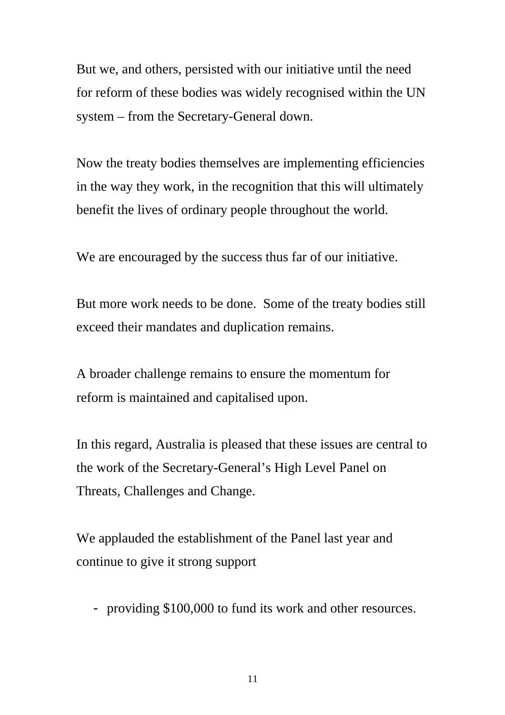But we, and others, persisted with our initiative until the need for reform of these bodies was widely recognised within the UN system – from the Secretary-General down.

Now the treaty bodies themselves are implementing efficiencies in the way they work, in the recognition that this will ultimately benefit the lives of ordinary people throughout the world.

We are encouraged by the success thus far of our initiative.

But more work needs to be done. Some of the treaty bodies still exceed their mandates and duplication remains.

A broader challenge remains to ensure the momentum for reform is maintained and capitalised upon.

In this regard, Australia is pleased that these issues are central to the work of the Secretary-General's High Level Panel on Threats, Challenges and Change.

We applauded the establishment of the Panel last year and continue to give it strong support

- providing \$100,000 to fund its work and other resources.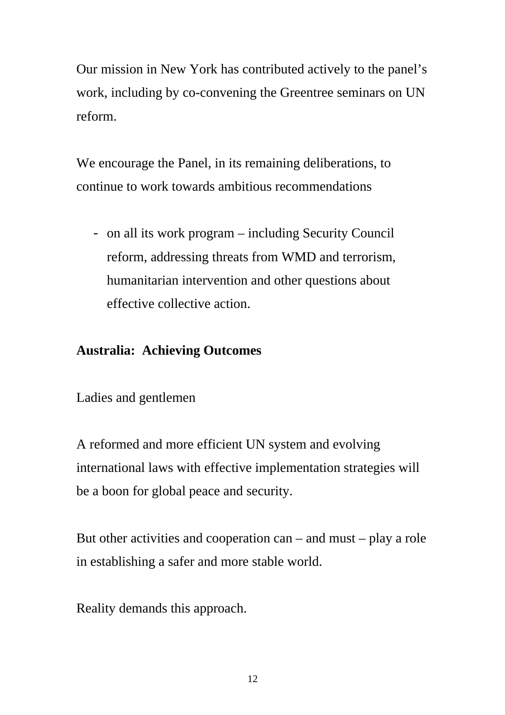Our mission in New York has contributed actively to the panel's work, including by co-convening the Greentree seminars on UN reform.

We encourage the Panel, in its remaining deliberations, to continue to work towards ambitious recommendations

- on all its work program – including Security Council reform, addressing threats from WMD and terrorism, humanitarian intervention and other questions about effective collective action.

## **Australia: Achieving Outcomes**

Ladies and gentlemen

A reformed and more efficient UN system and evolving international laws with effective implementation strategies will be a boon for global peace and security.

But other activities and cooperation can – and must – play a role in establishing a safer and more stable world.

Reality demands this approach.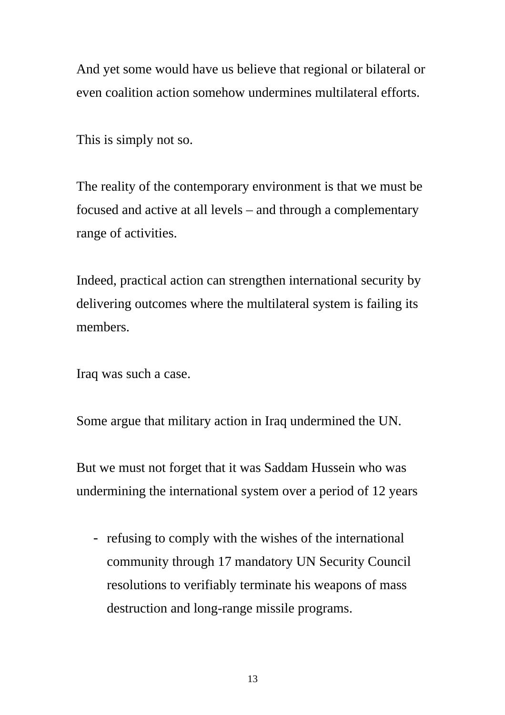And yet some would have us believe that regional or bilateral or even coalition action somehow undermines multilateral efforts.

This is simply not so.

The reality of the contemporary environment is that we must be focused and active at all levels – and through a complementary range of activities.

Indeed, practical action can strengthen international security by delivering outcomes where the multilateral system is failing its members.

Iraq was such a case.

Some argue that military action in Iraq undermined the UN.

But we must not forget that it was Saddam Hussein who was undermining the international system over a period of 12 years

- refusing to comply with the wishes of the international community through 17 mandatory UN Security Council resolutions to verifiably terminate his weapons of mass destruction and long-range missile programs.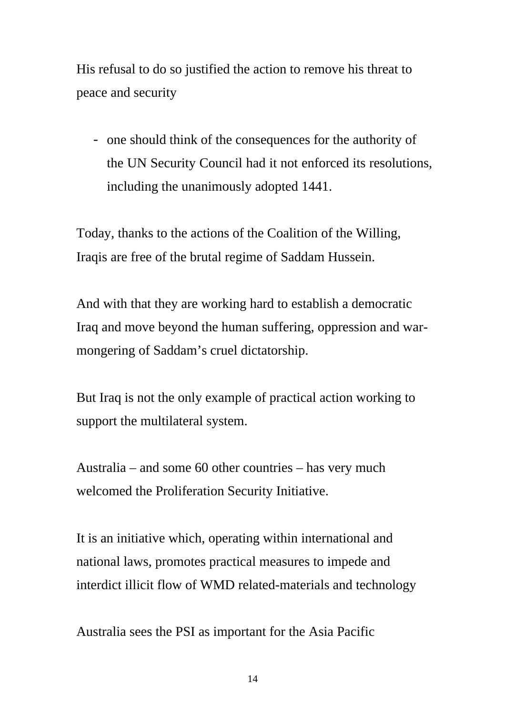His refusal to do so justified the action to remove his threat to peace and security

- one should think of the consequences for the authority of the UN Security Council had it not enforced its resolutions, including the unanimously adopted 1441.

Today, thanks to the actions of the Coalition of the Willing, Iraqis are free of the brutal regime of Saddam Hussein.

And with that they are working hard to establish a democratic Iraq and move beyond the human suffering, oppression and warmongering of Saddam's cruel dictatorship.

But Iraq is not the only example of practical action working to support the multilateral system.

Australia – and some 60 other countries – has very much welcomed the Proliferation Security Initiative.

It is an initiative which, operating within international and national laws, promotes practical measures to impede and interdict illicit flow of WMD related-materials and technology

Australia sees the PSI as important for the Asia Pacific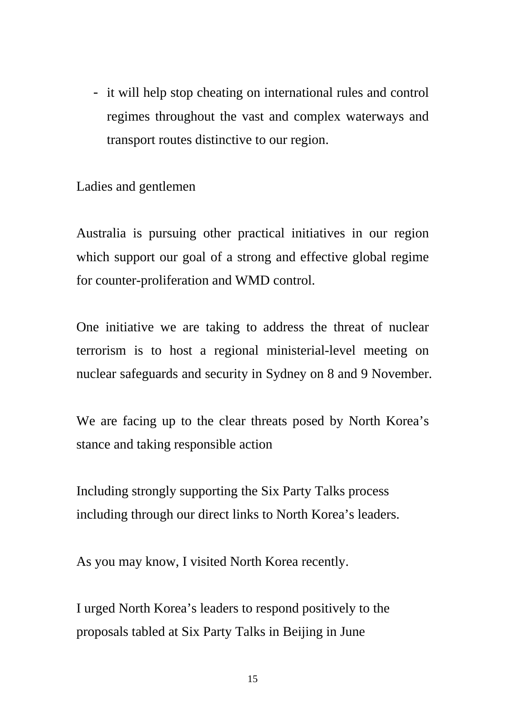- it will help stop cheating on international rules and control regimes throughout the vast and complex waterways and transport routes distinctive to our region.

Ladies and gentlemen

Australia is pursuing other practical initiatives in our region which support our goal of a strong and effective global regime for counter-proliferation and WMD control.

One initiative we are taking to address the threat of nuclear terrorism is to host a regional ministerial-level meeting on nuclear safeguards and security in Sydney on 8 and 9 November.

We are facing up to the clear threats posed by North Korea's stance and taking responsible action

Including strongly supporting the Six Party Talks process including through our direct links to North Korea's leaders.

As you may know, I visited North Korea recently.

I urged North Korea's leaders to respond positively to the proposals tabled at Six Party Talks in Beijing in June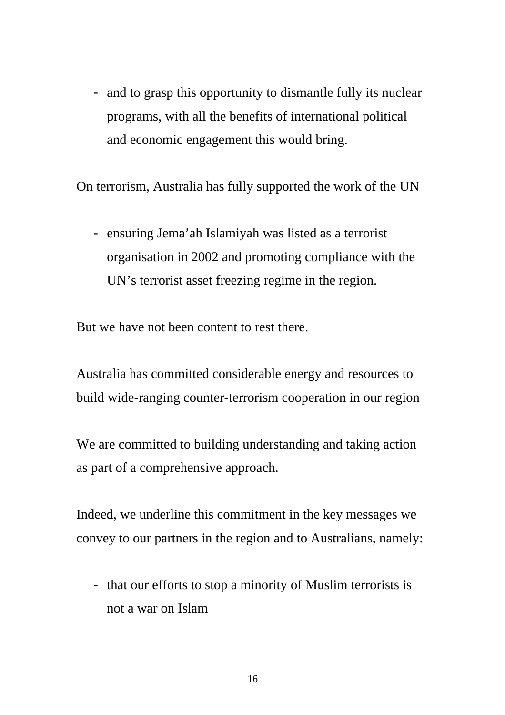- and to grasp this opportunity to dismantle fully its nuclear programs, with all the benefits of international political and economic engagement this would bring.

On terrorism, Australia has fully supported the work of the UN

- ensuring Jema'ah Islamiyah was listed as a terrorist organisation in 2002 and promoting compliance with the UN's terrorist asset freezing regime in the region.

But we have not been content to rest there.

Australia has committed considerable energy and resources to build wide-ranging counter-terrorism cooperation in our region

We are committed to building understanding and taking action as part of a comprehensive approach.

Indeed, we underline this commitment in the key messages we convey to our partners in the region and to Australians, namely:

- that our efforts to stop a minority of Muslim terrorists is not a war on Islam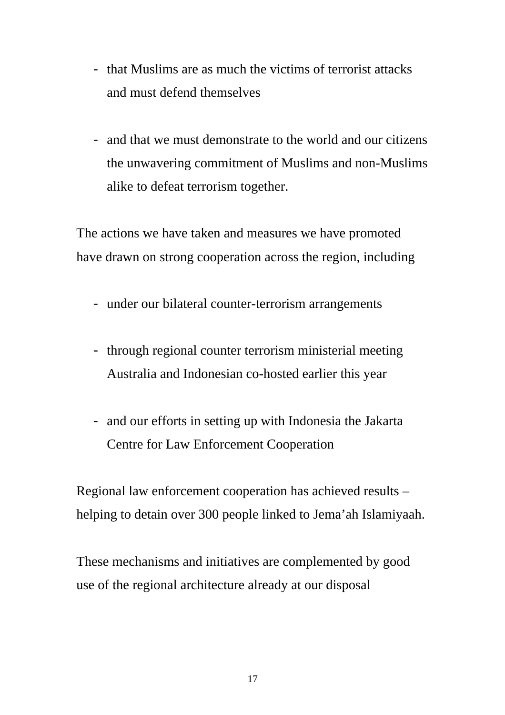- that Muslims are as much the victims of terrorist attacks and must defend themselves
- and that we must demonstrate to the world and our citizens the unwavering commitment of Muslims and non-Muslims alike to defeat terrorism together.

The actions we have taken and measures we have promoted have drawn on strong cooperation across the region, including

- under our bilateral counter-terrorism arrangements
- through regional counter terrorism ministerial meeting Australia and Indonesian co-hosted earlier this year
- and our efforts in setting up with Indonesia the Jakarta Centre for Law Enforcement Cooperation

Regional law enforcement cooperation has achieved results – helping to detain over 300 people linked to Jema'ah Islamiyaah.

These mechanisms and initiatives are complemented by good use of the regional architecture already at our disposal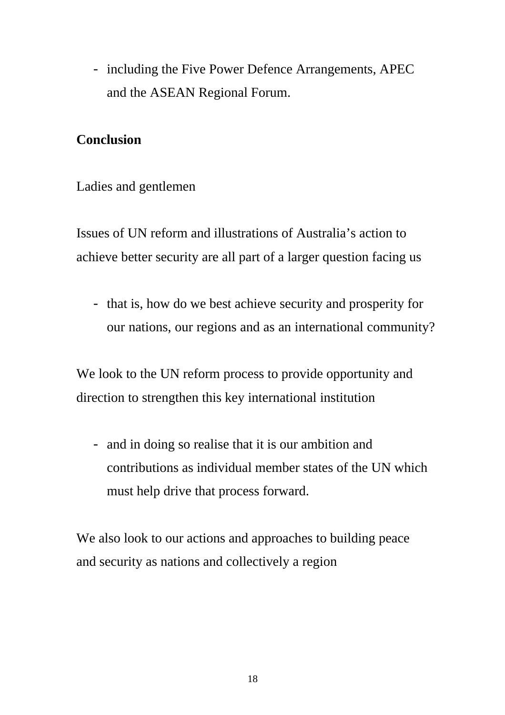- including the Five Power Defence Arrangements, APEC and the ASEAN Regional Forum.

## **Conclusion**

Ladies and gentlemen

Issues of UN reform and illustrations of Australia's action to achieve better security are all part of a larger question facing us

- that is, how do we best achieve security and prosperity for our nations, our regions and as an international community?

We look to the UN reform process to provide opportunity and direction to strengthen this key international institution

- and in doing so realise that it is our ambition and contributions as individual member states of the UN which must help drive that process forward.

We also look to our actions and approaches to building peace and security as nations and collectively a region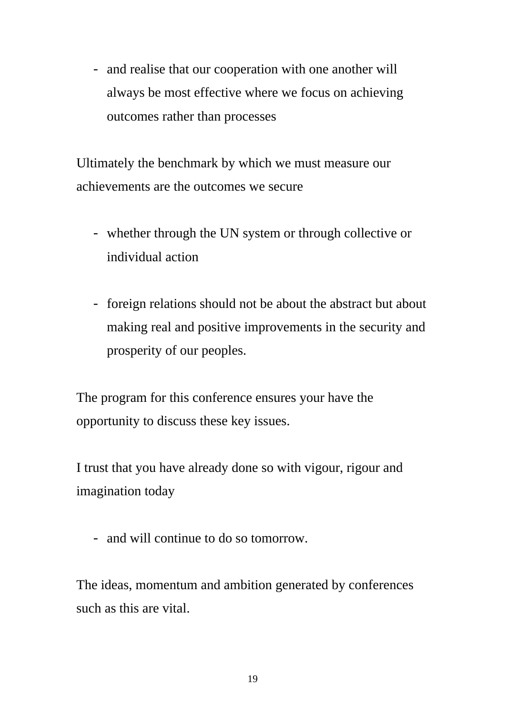- and realise that our cooperation with one another will always be most effective where we focus on achieving outcomes rather than processes

Ultimately the benchmark by which we must measure our achievements are the outcomes we secure

- whether through the UN system or through collective or individual action
- foreign relations should not be about the abstract but about making real and positive improvements in the security and prosperity of our peoples.

The program for this conference ensures your have the opportunity to discuss these key issues.

I trust that you have already done so with vigour, rigour and imagination today

- and will continue to do so tomorrow.

The ideas, momentum and ambition generated by conferences such as this are vital.